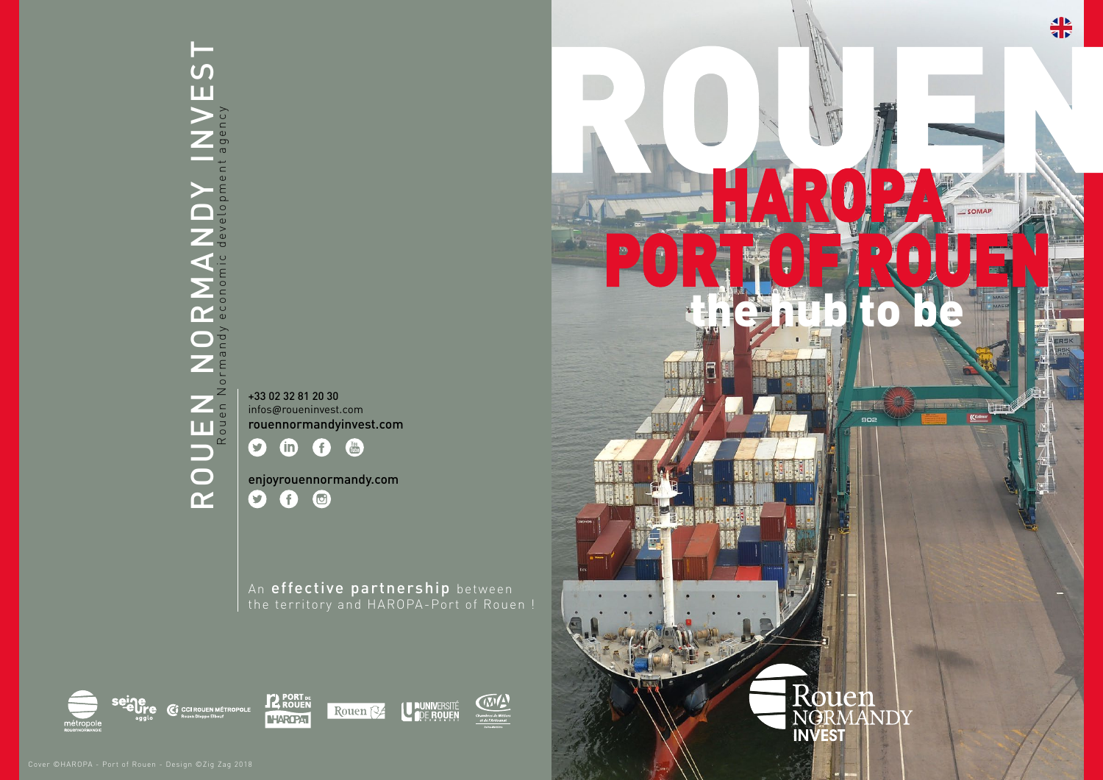An effective partnership between the territory and HAROPA-Port of Rouen !











enjoyrouennormandy.com  $\bullet$  $\bigodot$  $\bigcirc$ 

# rouen normandy invest  $\overline{\mathsf{S}}$ Rouen Normandy economic development agency agency ROUEN NORMANDY

+33 02 32 81 20 30 infos@roueninvest.com rouennormandyinvest.com

 $\bullet$  $\bigodot$ You<br>Tube  $\omega$